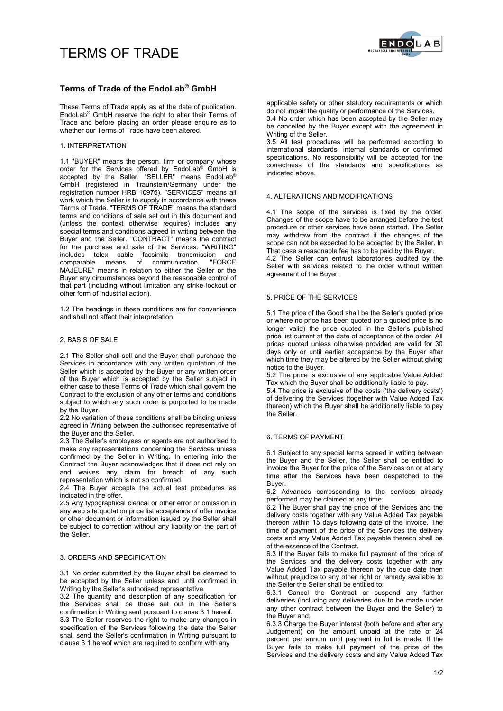## TERMS OF TRADE



## **Terms of Trade of the EndoLab® GmbH**

These Terms of Trade apply as at the date of publication. EndoLab® GmbH reserve the right to alter their Terms of Trade and before placing an order please enquire as to whether our Terms of Trade have been altered.

## 1. INTERPRETATION

1.1 "BUYER" means the person, firm or company whose order for the Services offered by EndoLab® GmbH is accepted by the Seller. "SELLER" means EndoLab® GmbH (registered in Traunstein/Germany under the registration number HRB 10976). "SERVICES" means all work which the Seller is to supply in accordance with these Terms of Trade. "TERMS OF TRADE" means the standard terms and conditions of sale set out in this document and (unless the context otherwise requires) includes any special terms and conditions agreed in writing between the Buyer and the Seller. "CONTRACT" means the contract for the purchase and sale of the Services. "WRITING" includes telex cable facsimile transmission and communication. MAJEURE" means in relation to either the Seller or the Buyer any circumstances beyond the reasonable control of that part (including without limitation any strike lockout or other form of industrial action).

1.2 The headings in these conditions are for convenience and shall not affect their interpretation.

## 2. BASIS OF SALE

2.1 The Seller shall sell and the Buyer shall purchase the Services in accordance with any written quotation of the Seller which is accepted by the Buyer or any written order of the Buyer which is accepted by the Seller subject in either case to these Terms of Trade which shall govern the Contract to the exclusion of any other terms and conditions subject to which any such order is purported to be made by the Buyer.

2.2 No variation of these conditions shall be binding unless agreed in Writing between the authorised representative of the Buyer and the Seller.

2.3 The Seller's employees or agents are not authorised to make any representations concerning the Services unless confirmed by the Seller in Writing. In entering into the Contract the Buyer acknowledges that it does not rely on and waives any claim for breach of any such representation which is not so confirmed.

2.4 The Buyer accepts the actual test procedures as indicated in the offer.

2.5 Any typographical clerical or other error or omission in any web site quotation price list acceptance of offer invoice or other document or information issued by the Seller shall be subject to correction without any liability on the part of the Seller.

#### 3. ORDERS AND SPECIFICATION

3.1 No order submitted by the Buyer shall be deemed to be accepted by the Seller unless and until confirmed in Writing by the Seller's authorised representative.

3.2 The quantity and description of any specification for the Services shall be those set out in the Seller's confirmation in Writing sent pursuant to clause 3.1 hereof. 3.3 The Seller reserves the right to make any changes in specification of the Services following the date the Seller shall send the Seller's confirmation in Writing pursuant to clause 3.1 hereof which are required to conform with any

applicable safety or other statutory requirements or which do not impair the quality or performance of the Services.

3.4 No order which has been accepted by the Seller may be cancelled by the Buver except with the agreement in Writing of the Seller.

3.5 All test procedures will be performed according to international standards, internal standards or confirmed specifications. No responsibility will be accepted for the correctness of the standards and specifications as indicated above.

### 4. ALTERATIONS AND MODIFICATIONS

4.1 The scope of the services is fixed by the order. Changes of the scope have to be arranged before the test procedure or other services have been started. The Seller may withdraw from the contract if the changes of the scope can not be expected to be accepted by the Seller. In That case a reasonable fee has to be paid by the Buyer. 4.2 The Seller can entrust laboratories audited by the Seller with services related to the order without written agreement of the Buyer.

#### 5. PRICE OF THE SERVICES

5.1 The price of the Good shall be the Seller's quoted price or where no price has been quoted (or a quoted price is no longer valid) the price quoted in the Seller's published price list current at the date of acceptance of the order. All prices quoted unless otherwise provided are valid for 30 days only or until earlier acceptance by the Buyer after which time they may be altered by the Seller without giving notice to the Buyer.

5.2 The price is exclusive of any applicable Value Added Tax which the Buyer shall be additionally liable to pay.

5.4 The price is exclusive of the costs ('the delivery costs') of delivering the Services (together with Value Added Tax thereon) which the Buyer shall be additionally liable to pay the Seller.

#### 6. TERMS OF PAYMENT

6.1 Subject to any special terms agreed in writing between the Buyer and the Seller, the Seller shall be entitled to invoice the Buyer for the price of the Services on or at any time after the Services have been despatched to the Buyer.

6.2 Advances corresponding to the services already performed may be claimed at any time.

6.2 The Buyer shall pay the price of the Services and the delivery costs together with any Value Added Tax payable thereon within 15 days following date of the invoice. The time of payment of the price of the Services the delivery costs and any Value Added Tax payable thereon shall be of the essence of the Contract.

6.3 If the Buyer fails to make full payment of the price of the Services and the delivery costs together with any Value Added Tax payable thereon by the due date then without prejudice to any other right or remedy available to the Seller the Seller shall be entitled to:

6.3.1 Cancel the Contract or suspend any further deliveries (including any deliveries due to be made under any other contract between the Buyer and the Seller) to the Buyer and;

6.3.3 Charge the Buyer interest (both before and after any Judgement) on the amount unpaid at the rate of 24 percent per annum until payment in full is made. If the Buyer fails to make full payment of the price of the Services and the delivery costs and any Value Added Tax